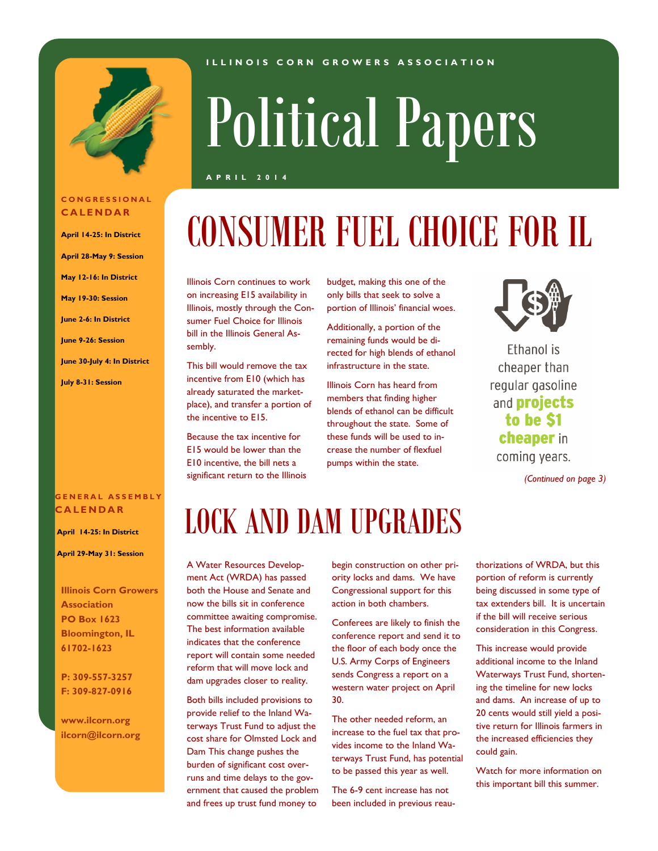

#### **C O N G R E S S I O N A L C A L E N D A R**

- **April 14-25: In District**
- **April 28-May 9: Session**
- **May 12-16: In District**
- **May 19-30: Session**
- **June 2-6: In District**
- **June 9-26: Session**
- **June 30-July 4: In District**
- **July 8-31: Session**

### **G E N E R A L A S S E M B L Y C A L E N D A R**

**April 14-25: In District**

**April 29-May 31: Session** 

**Illinois Corn Growers Association PO Box 1623 Bloomington, IL 61702-1623**

### **P: 309-557-3257 F: 309-827-0916**

**www.ilcorn.org ilcorn@ilcorn.org**

#### **I L L I N O I S C O R N G R O W E R S A S S O C I A T I O N**

# Political Papers

**A P R I L 2 0 1 4**

# CONSUMER FUEL CHOICE FOR IL

Illinois Corn continues to work on increasing E15 availability in Illinois, mostly through the Consumer Fuel Choice for Illinois bill in the Illinois General Assembly.

This bill would remove the tax incentive from E10 (which has already saturated the marketplace), and transfer a portion of the incentive to E15.

Because the tax incentive for E15 would be lower than the E10 incentive, the bill nets a significant return to the Illinois budget, making this one of the only bills that seek to solve a portion of Illinois' financial woes.

Additionally, a portion of the remaining funds would be directed for high blends of ethanol infrastructure in the state.

Illinois Corn has heard from members that finding higher blends of ethanol can be difficult throughout the state. Some of these funds will be used to increase the number of flexfuel pumps within the state.



Ethanol is cheaper than regular gasoline and **projects** to be \$1 cheaper in coming years.

*(Continued on page 3)*

### LOCK AND DAM UPGRADES

A Water Resources Development Act (WRDA) has passed both the House and Senate and now the bills sit in conference committee awaiting compromise. The best information available indicates that the conference report will contain some needed reform that will move lock and dam upgrades closer to reality.

Both bills included provisions to provide relief to the Inland Waterways Trust Fund to adjust the cost share for Olmsted Lock and Dam This change pushes the burden of significant cost overruns and time delays to the government that caused the problem and frees up trust fund money to

begin construction on other priority locks and dams. We have Congressional support for this action in both chambers.

Conferees are likely to finish the conference report and send it to the floor of each body once the U.S. Army Corps of Engineers sends Congress a report on a western water project on April 30.

The other needed reform, an increase to the fuel tax that provides income to the Inland Waterways Trust Fund, has potential to be passed this year as well.

The 6-9 cent increase has not been included in previous reauthorizations of WRDA, but this portion of reform is currently being discussed in some type of tax extenders bill. It is uncertain if the bill will receive serious consideration in this Congress.

This increase would provide additional income to the Inland Waterways Trust Fund, shortening the timeline for new locks and dams. An increase of up to 20 cents would still yield a positive return for Illinois farmers in the increased efficiencies they could gain.

Watch for more information on this important bill this summer.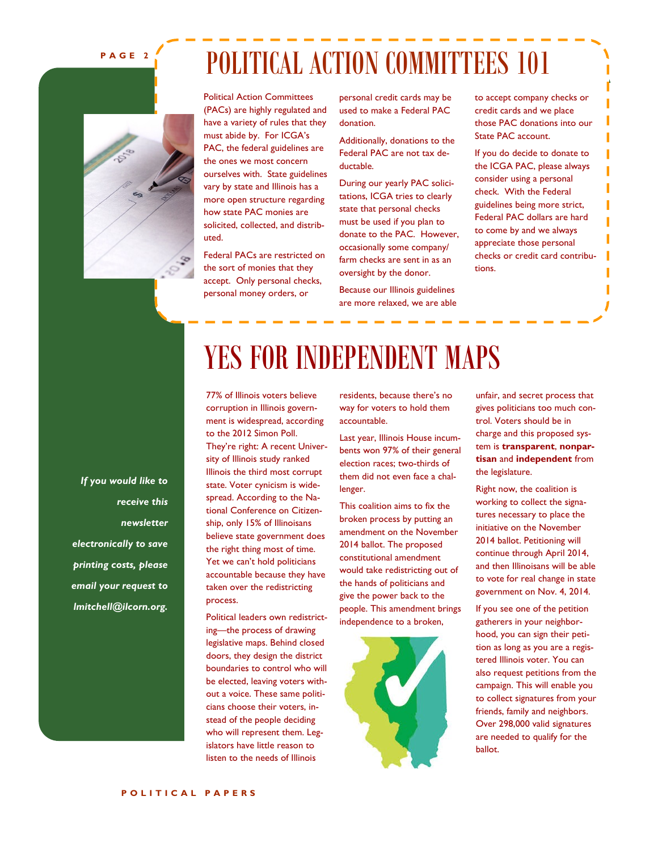### **P A G E 2**

### POLITICAL ACTION COMMITTEES 101

Political Action Committees (PACs) are highly regulated and have a variety of rules that they must abide by. For ICGA's PAC, the federal guidelines are the ones we most concern ourselves with. State guidelines vary by state and Illinois has a more open structure regarding how state PAC monies are solicited, collected, and distributed.

Federal PACs are restricted on the sort of monies that they accept. Only personal checks, personal money orders, or

personal credit cards may be used to make a Federal PAC donation.

Additionally, donations to the Federal PAC are not tax deductable.

During our yearly PAC solicitations, ICGA tries to clearly state that personal checks must be used if you plan to donate to the PAC. However, occasionally some company/ farm checks are sent in as an oversight by the donor.

Because our Illinois guidelines are more relaxed, we are able to accept company checks or credit cards and we place those PAC donations into our State PAC account.

If you do decide to donate to the ICGA PAC, please always consider using a personal check. With the Federal guidelines being more strict, Federal PAC dollars are hard to come by and we always appreciate those personal checks or credit card contributions.

*If you would like to receive this newsletter electronically to save printing costs, please email your request to lmitchell@ilcorn.org.*

### YES FOR INDEPENDENT MAPS

77% of Illinois voters believe corruption in Illinois government is widespread, according to the 2012 Simon Poll. They're right: A recent University of Illinois study ranked Illinois the third most corrupt state. Voter cynicism is widespread. According to the National Conference on Citizenship, only 15% of Illinoisans believe state government does the right thing most of time. Yet we can't hold politicians accountable because they have taken over the redistricting process.

Political leaders own redistricting—the process of drawing legislative maps. Behind closed doors, they design the district boundaries to control who will be elected, leaving voters without a voice. These same politicians choose their voters, instead of the people deciding who will represent them. Legislators have little reason to listen to the needs of Illinois

residents, because there's no way for voters to hold them accountable.

Last year, Illinois House incumbents won 97% of their general election races; two-thirds of them did not even face a challenger.

This coalition aims to fix the broken process by putting an amendment on the November 2014 ballot. The proposed constitutional amendment would take redistricting out of the hands of politicians and give the power back to the people. This amendment brings independence to a broken,



unfair, and secret process that gives politicians too much control. Voters should be in charge and this proposed system is **transparent**, **nonpartisan** and **independent** from the legislature.

Right now, the coalition is working to collect the signatures necessary to place the initiative on the November 2014 ballot. Petitioning will continue through April 2014, and then Illinoisans will be able to vote for real change in state government on Nov. 4, 2014.

If you see one of the petition gatherers in your neighborhood, you can sign their petition as long as you are a registered Illinois voter. [You can](http://independentmaps.org/get-involved)  [also request petitions from the](http://independentmaps.org/get-involved)  [campaign. Th](http://independentmaps.org/get-involved)is will enable you to collect signatures from your friends, family and neighbors. Over 298,000 valid signatures are needed to qualify for the ballot.

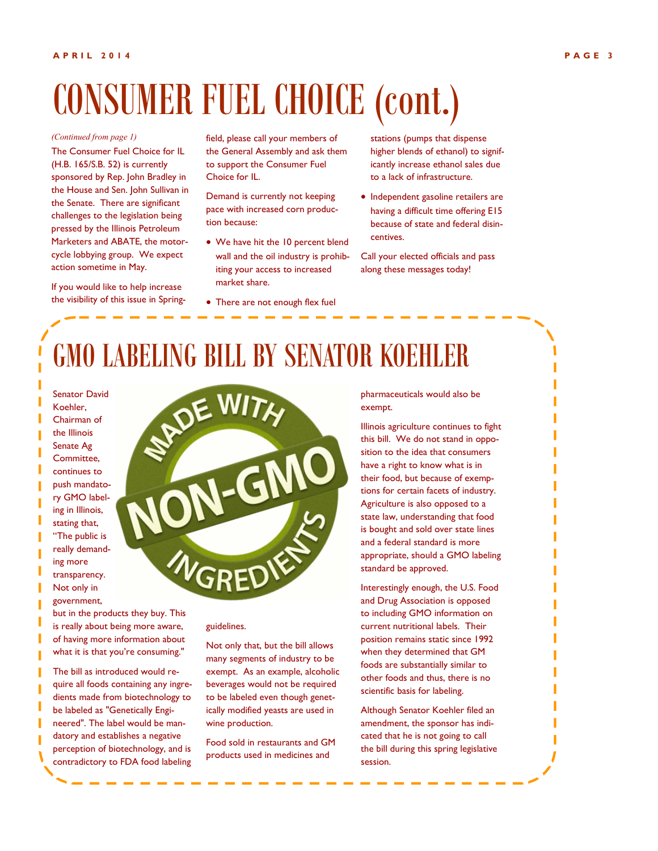## CONSUMER FUEL CHOICE (cont.)

#### *(Continued from page 1)*

The Consumer Fuel Choice for IL (H.B. 165/S.B. 52) is currently sponsored by Rep. John Bradley in the House and Sen. John Sullivan in the Senate. There are significant challenges to the legislation being pressed by the Illinois Petroleum Marketers and ABATE, the motorcycle lobbying group. We expect action sometime in May.

If you would like to help increase the visibility of this issue in Spring-

field, please call your members of the General Assembly and ask them to support the Consumer Fuel Choice for IL.

Demand is currently not keeping pace with increased corn production because:

- We have hit the 10 percent blend wall and the oil industry is prohibiting your access to increased market share.
- There are not enough flex fuel

stations (pumps that dispense higher blends of ethanol) to significantly increase ethanol sales due to a lack of infrastructure.

• Independent gasoline retailers are having a difficult time offering E15 because of state and federal disincentives.

Call your elected officials and pass along these messages today!

### GMO LABELING BILL BY SENATOR KOEHLER

Senator David Koehler, Chairman of the Illinois Senate Ag Committee, continues to push mandatory GMO labeling in Illinois, stating that, "The public is really demanding more transparency. Not only in government,

but in the products they buy. This is really about being more aware, of having more information about what it is that you're consuming." The bill as introduced would require all foods containing any ingredients made from biotechnology to be labeled as "Genetically Engineered". The label would be mandatory and establishes a negative perception of biotechnology, and is contradictory to FDA food labeling

GREDIE

#### guidelines.

Not only that, but the bill allows many segments of industry to be exempt. As an example, alcoholic beverages would not be required to be labeled even though genetically modified yeasts are used in wine production.

Food sold in restaurants and GM products used in medicines and

pharmaceuticals would also be exempt.

Illinois agriculture continues to fight this bill. We do not stand in opposition to the idea that consumers have a right to know what is in their food, but because of exemptions for certain facets of industry. Agriculture is also opposed to a state law, understanding that food is bought and sold over state lines and a federal standard is more appropriate, should a GMO labeling standard be approved.

Interestingly enough, the U.S. Food and Drug Association is opposed to including GMO information on current nutritional labels. Their position remains static since 1992 when they determined that GM foods are substantially similar to other foods and thus, there is no scientific basis for labeling.

Although Senator Koehler filed an amendment, the sponsor has indicated that he is not going to call the bill during this spring legislative session.